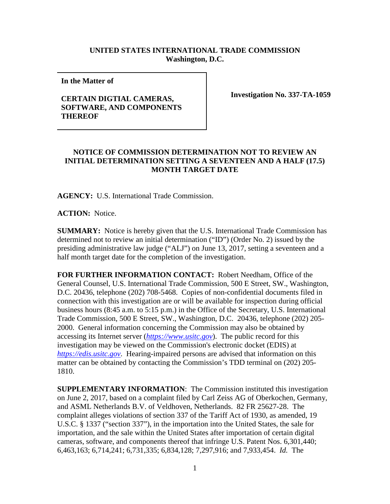## **UNITED STATES INTERNATIONAL TRADE COMMISSION Washington, D.C.**

**In the Matter of** 

## **CERTAIN DIGTIAL CAMERAS, SOFTWARE, AND COMPONENTS THEREOF**

**Investigation No. 337-TA-1059**

## **NOTICE OF COMMISSION DETERMINATION NOT TO REVIEW AN INITIAL DETERMINATION SETTING A SEVENTEEN AND A HALF (17.5) MONTH TARGET DATE**

**AGENCY:** U.S. International Trade Commission.

**ACTION:** Notice.

**SUMMARY:** Notice is hereby given that the U.S. International Trade Commission has determined not to review an initial determination ("ID") (Order No. 2) issued by the presiding administrative law judge ("ALJ") on June 13, 2017, setting a seventeen and a half month target date for the completion of the investigation.

**FOR FURTHER INFORMATION CONTACT:** Robert Needham, Office of the General Counsel, U.S. International Trade Commission, 500 E Street, SW., Washington, D.C. 20436, telephone (202) 708-5468. Copies of non-confidential documents filed in connection with this investigation are or will be available for inspection during official business hours (8:45 a.m. to 5:15 p.m.) in the Office of the Secretary, U.S. International Trade Commission, 500 E Street, SW., Washington, D.C. 20436, telephone (202) 205- 2000. General information concerning the Commission may also be obtained by accessing its Internet server (*[https://www.usitc.gov](https://www.usitc.gov/)*). The public record for this investigation may be viewed on the Commission's electronic docket (EDIS) at *[https://edis.usitc.gov](https://edis.usitc.gov/)*. Hearing-impaired persons are advised that information on this matter can be obtained by contacting the Commission's TDD terminal on (202) 205- 1810.

**SUPPLEMENTARY INFORMATION**: The Commission instituted this investigation on June 2, 2017, based on a complaint filed by Carl Zeiss AG of Oberkochen, Germany, and ASML Netherlands B.V. of Veldhoven, Netherlands. 82 FR 25627-28. The complaint alleges violations of section 337 of the Tariff Act of 1930, as amended, 19 U.S.C. § 1337 ("section 337"), in the importation into the United States, the sale for importation, and the sale within the United States after importation of certain digital cameras, software, and components thereof that infringe U.S. Patent Nos. 6,301,440; 6,463,163; 6,714,241; 6,731,335; 6,834,128; 7,297,916; and 7,933,454. *Id.* The